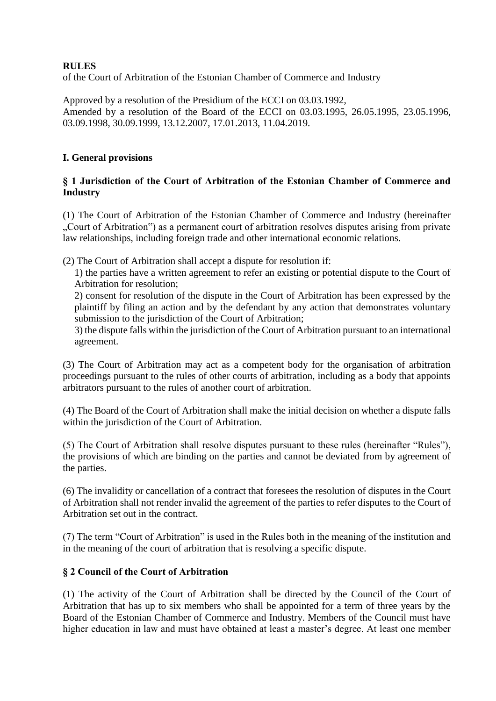## **RULES**

of the Court of Arbitration of the Estonian Chamber of Commerce and Industry

Approved by a resolution of the Presidium of the ECCI on 03.03.1992, Amended by a resolution of the Board of the ECCI on 03.03.1995, 26.05.1995, 23.05.1996, 03.09.1998, 30.09.1999, 13.12.2007, 17.01.2013, 11.04.2019.

## **I. General provisions**

#### **§ 1 Jurisdiction of the Court of Arbitration of the Estonian Chamber of Commerce and Industry**

(1) The Court of Arbitration of the Estonian Chamber of Commerce and Industry (hereinafter ". Court of Arbitration") as a permanent court of arbitration resolves disputes arising from private law relationships, including foreign trade and other international economic relations.

(2) The Court of Arbitration shall accept a dispute for resolution if:

1) the parties have a written agreement to refer an existing or potential dispute to the Court of Arbitration for resolution;

2) consent for resolution of the dispute in the Court of Arbitration has been expressed by the plaintiff by filing an action and by the defendant by any action that demonstrates voluntary submission to the jurisdiction of the Court of Arbitration;

3) the dispute falls within the jurisdiction of the Court of Arbitration pursuant to an international agreement.

(3) The Court of Arbitration may act as a competent body for the organisation of arbitration proceedings pursuant to the rules of other courts of arbitration, including as a body that appoints arbitrators pursuant to the rules of another court of arbitration.

(4) The Board of the Court of Arbitration shall make the initial decision on whether a dispute falls within the jurisdiction of the Court of Arbitration.

(5) The Court of Arbitration shall resolve disputes pursuant to these rules (hereinafter "Rules"), the provisions of which are binding on the parties and cannot be deviated from by agreement of the parties.

(6) The invalidity or cancellation of a contract that foresees the resolution of disputes in the Court of Arbitration shall not render invalid the agreement of the parties to refer disputes to the Court of Arbitration set out in the contract.

(7) The term "Court of Arbitration" is used in the Rules both in the meaning of the institution and in the meaning of the court of arbitration that is resolving a specific dispute.

## **§ 2 Council of the Court of Arbitration**

(1) The activity of the Court of Arbitration shall be directed by the Council of the Court of Arbitration that has up to six members who shall be appointed for a term of three years by the Board of the Estonian Chamber of Commerce and Industry. Members of the Council must have higher education in law and must have obtained at least a master's degree. At least one member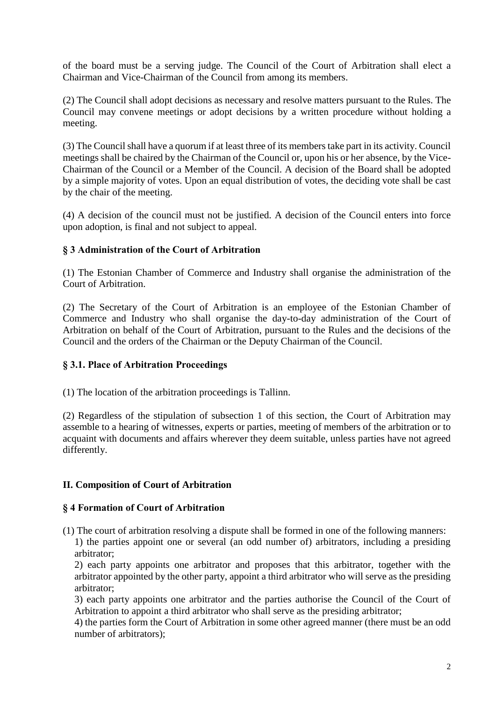of the board must be a serving judge. The Council of the Court of Arbitration shall elect a Chairman and Vice-Chairman of the Council from among its members.

(2) The Council shall adopt decisions as necessary and resolve matters pursuant to the Rules. The Council may convene meetings or adopt decisions by a written procedure without holding a meeting.

(3) The Council shall have a quorum if at least three of its members take part in its activity. Council meetings shall be chaired by the Chairman of the Council or, upon his or her absence, by the Vice-Chairman of the Council or a Member of the Council. A decision of the Board shall be adopted by a simple majority of votes. Upon an equal distribution of votes, the deciding vote shall be cast by the chair of the meeting.

(4) A decision of the council must not be justified. A decision of the Council enters into force upon adoption, is final and not subject to appeal.

# **§ 3 Administration of the Court of Arbitration**

(1) The Estonian Chamber of Commerce and Industry shall organise the administration of the Court of Arbitration.

(2) The Secretary of the Court of Arbitration is an employee of the Estonian Chamber of Commerce and Industry who shall organise the day-to-day administration of the Court of Arbitration on behalf of the Court of Arbitration, pursuant to the Rules and the decisions of the Council and the orders of the Chairman or the Deputy Chairman of the Council.

## **§ 3.1. Place of Arbitration Proceedings**

(1) The location of the arbitration proceedings is Tallinn.

(2) Regardless of the stipulation of subsection 1 of this section, the Court of Arbitration may assemble to a hearing of witnesses, experts or parties, meeting of members of the arbitration or to acquaint with documents and affairs wherever they deem suitable, unless parties have not agreed differently.

# **II. Composition of Court of Arbitration**

## **§ 4 Formation of Court of Arbitration**

(1) The court of arbitration resolving a dispute shall be formed in one of the following manners:

1) the parties appoint one or several (an odd number of) arbitrators, including a presiding arbitrator;

2) each party appoints one arbitrator and proposes that this arbitrator, together with the arbitrator appointed by the other party, appoint a third arbitrator who will serve as the presiding arbitrator;

3) each party appoints one arbitrator and the parties authorise the Council of the Court of Arbitration to appoint a third arbitrator who shall serve as the presiding arbitrator;

4) the parties form the Court of Arbitration in some other agreed manner (there must be an odd number of arbitrators);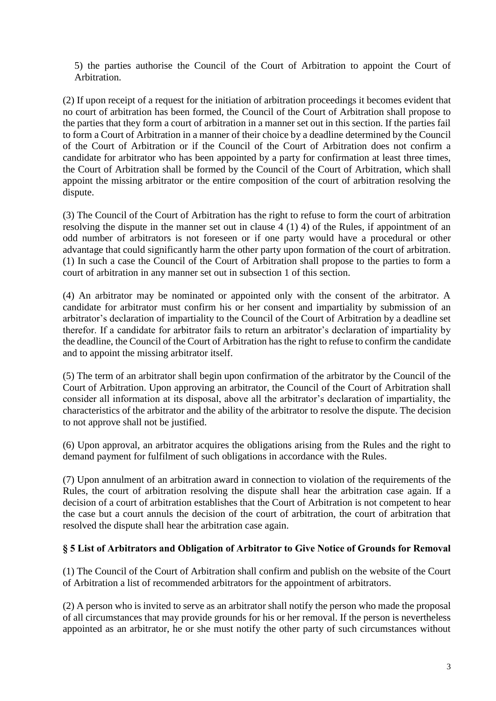5) the parties authorise the Council of the Court of Arbitration to appoint the Court of Arbitration.

(2) If upon receipt of a request for the initiation of arbitration proceedings it becomes evident that no court of arbitration has been formed, the Council of the Court of Arbitration shall propose to the parties that they form a court of arbitration in a manner set out in this section. If the parties fail to form a Court of Arbitration in a manner of their choice by a deadline determined by the Council of the Court of Arbitration or if the Council of the Court of Arbitration does not confirm a candidate for arbitrator who has been appointed by a party for confirmation at least three times, the Court of Arbitration shall be formed by the Council of the Court of Arbitration, which shall appoint the missing arbitrator or the entire composition of the court of arbitration resolving the dispute.

(3) The Council of the Court of Arbitration has the right to refuse to form the court of arbitration resolving the dispute in the manner set out in clause 4 (1) 4) of the Rules, if appointment of an odd number of arbitrators is not foreseen or if one party would have a procedural or other advantage that could significantly harm the other party upon formation of the court of arbitration. (1) In such a case the Council of the Court of Arbitration shall propose to the parties to form a court of arbitration in any manner set out in subsection 1 of this section.

(4) An arbitrator may be nominated or appointed only with the consent of the arbitrator. A candidate for arbitrator must confirm his or her consent and impartiality by submission of an arbitrator's declaration of impartiality to the Council of the Court of Arbitration by a deadline set therefor. If a candidate for arbitrator fails to return an arbitrator's declaration of impartiality by the deadline, the Council of the Court of Arbitration has the right to refuse to confirm the candidate and to appoint the missing arbitrator itself.

(5) The term of an arbitrator shall begin upon confirmation of the arbitrator by the Council of the Court of Arbitration. Upon approving an arbitrator, the Council of the Court of Arbitration shall consider all information at its disposal, above all the arbitrator's declaration of impartiality, the characteristics of the arbitrator and the ability of the arbitrator to resolve the dispute. The decision to not approve shall not be justified.

(6) Upon approval, an arbitrator acquires the obligations arising from the Rules and the right to demand payment for fulfilment of such obligations in accordance with the Rules.

(7) Upon annulment of an arbitration award in connection to violation of the requirements of the Rules, the court of arbitration resolving the dispute shall hear the arbitration case again. If a decision of a court of arbitration establishes that the Court of Arbitration is not competent to hear the case but a court annuls the decision of the court of arbitration, the court of arbitration that resolved the dispute shall hear the arbitration case again.

## **§ 5 List of Arbitrators and Obligation of Arbitrator to Give Notice of Grounds for Removal**

(1) The Council of the Court of Arbitration shall confirm and publish on the website of the Court of Arbitration a list of recommended arbitrators for the appointment of arbitrators.

(2) A person who is invited to serve as an arbitrator shall notify the person who made the proposal of all circumstances that may provide grounds for his or her removal. If the person is nevertheless appointed as an arbitrator, he or she must notify the other party of such circumstances without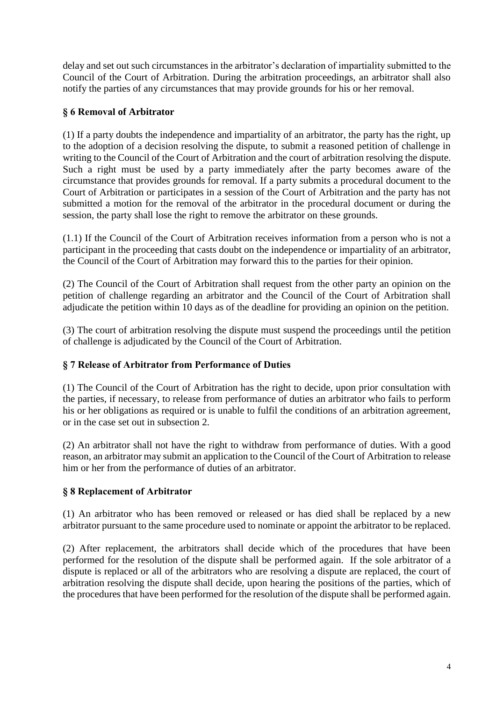delay and set out such circumstances in the arbitrator's declaration of impartiality submitted to the Council of the Court of Arbitration. During the arbitration proceedings, an arbitrator shall also notify the parties of any circumstances that may provide grounds for his or her removal.

# **§ 6 Removal of Arbitrator**

(1) If a party doubts the independence and impartiality of an arbitrator, the party has the right, up to the adoption of a decision resolving the dispute, to submit a reasoned petition of challenge in writing to the Council of the Court of Arbitration and the court of arbitration resolving the dispute. Such a right must be used by a party immediately after the party becomes aware of the circumstance that provides grounds for removal. If a party submits a procedural document to the Court of Arbitration or participates in a session of the Court of Arbitration and the party has not submitted a motion for the removal of the arbitrator in the procedural document or during the session, the party shall lose the right to remove the arbitrator on these grounds.

(1.1) If the Council of the Court of Arbitration receives information from a person who is not a participant in the proceeding that casts doubt on the independence or impartiality of an arbitrator, the Council of the Court of Arbitration may forward this to the parties for their opinion.

(2) The Council of the Court of Arbitration shall request from the other party an opinion on the petition of challenge regarding an arbitrator and the Council of the Court of Arbitration shall adjudicate the petition within 10 days as of the deadline for providing an opinion on the petition.

(3) The court of arbitration resolving the dispute must suspend the proceedings until the petition of challenge is adjudicated by the Council of the Court of Arbitration.

## **§ 7 Release of Arbitrator from Performance of Duties**

(1) The Council of the Court of Arbitration has the right to decide, upon prior consultation with the parties, if necessary, to release from performance of duties an arbitrator who fails to perform his or her obligations as required or is unable to fulfil the conditions of an arbitration agreement, or in the case set out in subsection 2.

(2) An arbitrator shall not have the right to withdraw from performance of duties. With a good reason, an arbitrator may submit an application to the Council of the Court of Arbitration to release him or her from the performance of duties of an arbitrator.

## **§ 8 Replacement of Arbitrator**

(1) An arbitrator who has been removed or released or has died shall be replaced by a new arbitrator pursuant to the same procedure used to nominate or appoint the arbitrator to be replaced.

(2) After replacement, the arbitrators shall decide which of the procedures that have been performed for the resolution of the dispute shall be performed again. If the sole arbitrator of a dispute is replaced or all of the arbitrators who are resolving a dispute are replaced, the court of arbitration resolving the dispute shall decide, upon hearing the positions of the parties, which of the procedures that have been performed for the resolution of the dispute shall be performed again.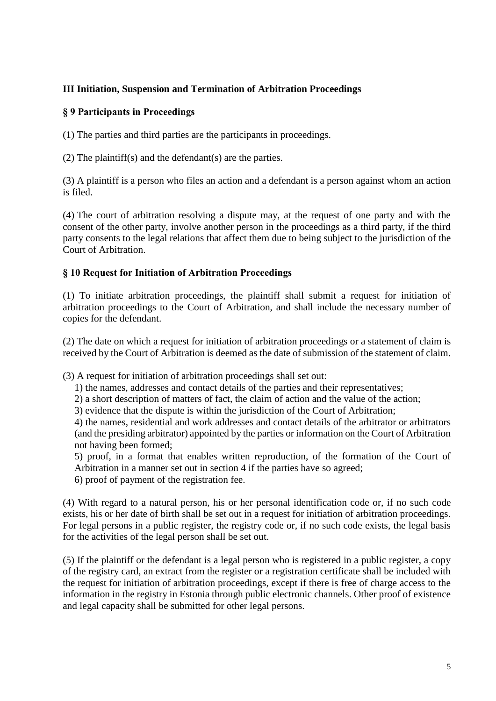# **III Initiation, Suspension and Termination of Arbitration Proceedings**

## **§ 9 Participants in Proceedings**

(1) The parties and third parties are the participants in proceedings.

(2) The plaintiff(s) and the defendant(s) are the parties.

(3) A plaintiff is a person who files an action and a defendant is a person against whom an action is filed.

(4) The court of arbitration resolving a dispute may, at the request of one party and with the consent of the other party, involve another person in the proceedings as a third party, if the third party consents to the legal relations that affect them due to being subject to the jurisdiction of the Court of Arbitration.

## **§ 10 Request for Initiation of Arbitration Proceedings**

(1) To initiate arbitration proceedings, the plaintiff shall submit a request for initiation of arbitration proceedings to the Court of Arbitration, and shall include the necessary number of copies for the defendant.

(2) The date on which a request for initiation of arbitration proceedings or a statement of claim is received by the Court of Arbitration is deemed as the date of submission of the statement of claim.

(3) A request for initiation of arbitration proceedings shall set out:

- 1) the names, addresses and contact details of the parties and their representatives;
- 2) a short description of matters of fact, the claim of action and the value of the action;

3) evidence that the dispute is within the jurisdiction of the Court of Arbitration;

4) the names, residential and work addresses and contact details of the arbitrator or arbitrators (and the presiding arbitrator) appointed by the parties or information on the Court of Arbitration not having been formed;

5) proof, in a format that enables written reproduction, of the formation of the Court of Arbitration in a manner set out in section 4 if the parties have so agreed;

6) proof of payment of the registration fee.

(4) With regard to a natural person, his or her personal identification code or, if no such code exists, his or her date of birth shall be set out in a request for initiation of arbitration proceedings. For legal persons in a public register, the registry code or, if no such code exists, the legal basis for the activities of the legal person shall be set out.

(5) If the plaintiff or the defendant is a legal person who is registered in a public register, a copy of the registry card, an extract from the register or a registration certificate shall be included with the request for initiation of arbitration proceedings, except if there is free of charge access to the information in the registry in Estonia through public electronic channels. Other proof of existence and legal capacity shall be submitted for other legal persons.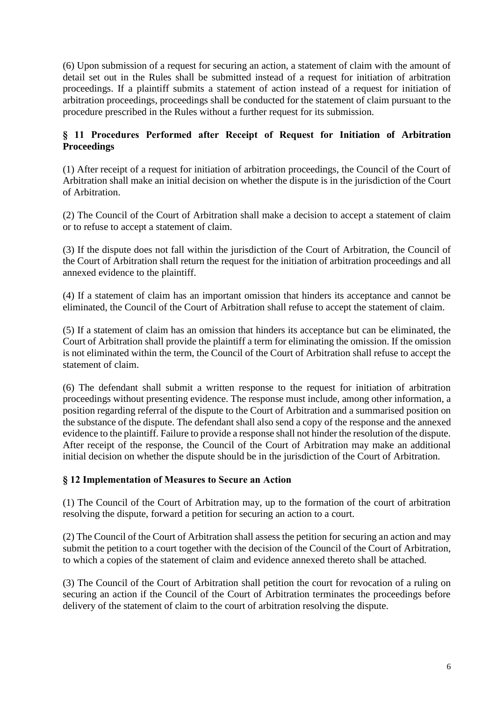(6) Upon submission of a request for securing an action, a statement of claim with the amount of detail set out in the Rules shall be submitted instead of a request for initiation of arbitration proceedings. If a plaintiff submits a statement of action instead of a request for initiation of arbitration proceedings, proceedings shall be conducted for the statement of claim pursuant to the procedure prescribed in the Rules without a further request for its submission.

# **§ 11 Procedures Performed after Receipt of Request for Initiation of Arbitration Proceedings**

(1) After receipt of a request for initiation of arbitration proceedings, the Council of the Court of Arbitration shall make an initial decision on whether the dispute is in the jurisdiction of the Court of Arbitration.

(2) The Council of the Court of Arbitration shall make a decision to accept a statement of claim or to refuse to accept a statement of claim.

(3) If the dispute does not fall within the jurisdiction of the Court of Arbitration, the Council of the Court of Arbitration shall return the request for the initiation of arbitration proceedings and all annexed evidence to the plaintiff.

(4) If a statement of claim has an important omission that hinders its acceptance and cannot be eliminated, the Council of the Court of Arbitration shall refuse to accept the statement of claim.

(5) If a statement of claim has an omission that hinders its acceptance but can be eliminated, the Court of Arbitration shall provide the plaintiff a term for eliminating the omission. If the omission is not eliminated within the term, the Council of the Court of Arbitration shall refuse to accept the statement of claim.

(6) The defendant shall submit a written response to the request for initiation of arbitration proceedings without presenting evidence. The response must include, among other information, a position regarding referral of the dispute to the Court of Arbitration and a summarised position on the substance of the dispute. The defendant shall also send a copy of the response and the annexed evidence to the plaintiff. Failure to provide a response shall not hinder the resolution of the dispute. After receipt of the response, the Council of the Court of Arbitration may make an additional initial decision on whether the dispute should be in the jurisdiction of the Court of Arbitration.

## **§ 12 Implementation of Measures to Secure an Action**

(1) The Council of the Court of Arbitration may, up to the formation of the court of arbitration resolving the dispute, forward a petition for securing an action to a court.

(2) The Council of the Court of Arbitration shall assess the petition for securing an action and may submit the petition to a court together with the decision of the Council of the Court of Arbitration, to which a copies of the statement of claim and evidence annexed thereto shall be attached.

(3) The Council of the Court of Arbitration shall petition the court for revocation of a ruling on securing an action if the Council of the Court of Arbitration terminates the proceedings before delivery of the statement of claim to the court of arbitration resolving the dispute.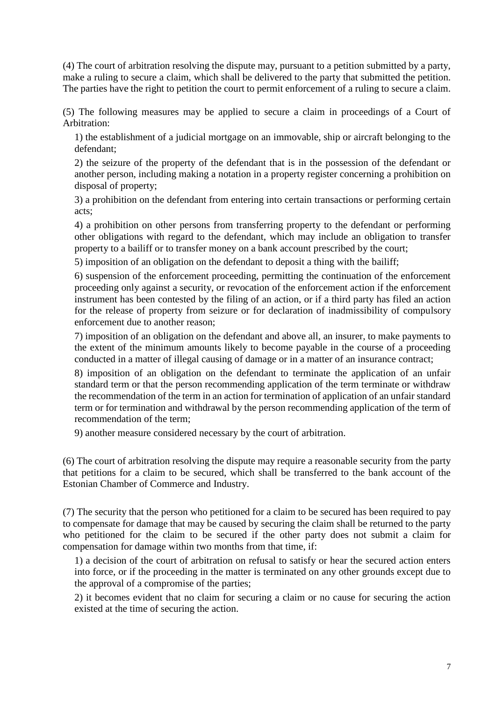(4) The court of arbitration resolving the dispute may, pursuant to a petition submitted by a party, make a ruling to secure a claim, which shall be delivered to the party that submitted the petition. The parties have the right to petition the court to permit enforcement of a ruling to secure a claim.

(5) The following measures may be applied to secure a claim in proceedings of a Court of Arbitration:

1) the establishment of a judicial mortgage on an immovable, ship or aircraft belonging to the defendant;

2) the seizure of the property of the defendant that is in the possession of the defendant or another person, including making a notation in a property register concerning a prohibition on disposal of property;

3) a prohibition on the defendant from entering into certain transactions or performing certain acts;

4) a prohibition on other persons from transferring property to the defendant or performing other obligations with regard to the defendant, which may include an obligation to transfer property to a bailiff or to transfer money on a bank account prescribed by the court;

5) imposition of an obligation on the defendant to deposit a thing with the bailiff;

6) suspension of the enforcement proceeding, permitting the continuation of the enforcement proceeding only against a security, or revocation of the enforcement action if the enforcement instrument has been contested by the filing of an action, or if a third party has filed an action for the release of property from seizure or for declaration of inadmissibility of compulsory enforcement due to another reason;

7) imposition of an obligation on the defendant and above all, an insurer, to make payments to the extent of the minimum amounts likely to become payable in the course of a proceeding conducted in a matter of illegal causing of damage or in a matter of an insurance contract;

8) imposition of an obligation on the defendant to terminate the application of an unfair standard term or that the person recommending application of the term terminate or withdraw the recommendation of the term in an action for termination of application of an unfair standard term or for termination and withdrawal by the person recommending application of the term of recommendation of the term;

9) another measure considered necessary by the court of arbitration.

(6) The court of arbitration resolving the dispute may require a reasonable security from the party that petitions for a claim to be secured, which shall be transferred to the bank account of the Estonian Chamber of Commerce and Industry.

(7) The security that the person who petitioned for a claim to be secured has been required to pay to compensate for damage that may be caused by securing the claim shall be returned to the party who petitioned for the claim to be secured if the other party does not submit a claim for compensation for damage within two months from that time, if:

1) a decision of the court of arbitration on refusal to satisfy or hear the secured action enters into force, or if the proceeding in the matter is terminated on any other grounds except due to the approval of a compromise of the parties;

2) it becomes evident that no claim for securing a claim or no cause for securing the action existed at the time of securing the action.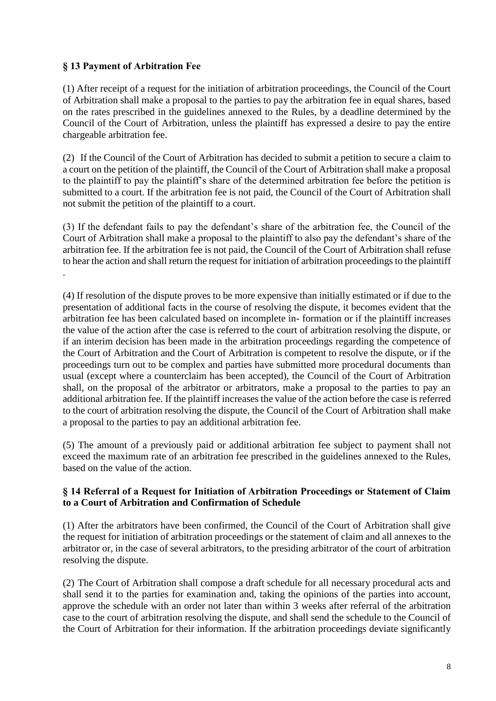# **§ 13 Payment of Arbitration Fee**

(1) After receipt of a request for the initiation of arbitration proceedings, the Council of the Court of Arbitration shall make a proposal to the parties to pay the arbitration fee in equal shares, based on the rates prescribed in the guidelines annexed to the Rules, by a deadline determined by the Council of the Court of Arbitration, unless the plaintiff has expressed a desire to pay the entire chargeable arbitration fee.

(2) If the Council of the Court of Arbitration has decided to submit a petition to secure a claim to a court on the petition of the plaintiff, the Council of the Court of Arbitration shall make a proposal to the plaintiff to pay the plaintiff's share of the determined arbitration fee before the petition is submitted to a court. If the arbitration fee is not paid, the Council of the Court of Arbitration shall not submit the petition of the plaintiff to a court.

(3) If the defendant fails to pay the defendant's share of the arbitration fee, the Council of the Court of Arbitration shall make a proposal to the plaintiff to also pay the defendant's share of the arbitration fee. If the arbitration fee is not paid, the Council of the Court of Arbitration shall refuse to hear the action and shall return the request for initiation of arbitration proceedings to the plaintiff .

(4) If resolution of the dispute proves to be more expensive than initially estimated or if due to the presentation of additional facts in the course of resolving the dispute, it becomes evident that the arbitration fee has been calculated based on incomplete in- formation or if the plaintiff increases the value of the action after the case is referred to the court of arbitration resolving the dispute, or if an interim decision has been made in the arbitration proceedings regarding the competence of the Court of Arbitration and the Court of Arbitration is competent to resolve the dispute, or if the proceedings turn out to be complex and parties have submitted more procedural documents than usual (except where a counterclaim has been accepted), the Council of the Court of Arbitration shall, on the proposal of the arbitrator or arbitrators, make a proposal to the parties to pay an additional arbitration fee. If the plaintiff increases the value of the action before the case is referred to the court of arbitration resolving the dispute, the Council of the Court of Arbitration shall make a proposal to the parties to pay an additional arbitration fee.

(5) The amount of a previously paid or additional arbitration fee subject to payment shall not exceed the maximum rate of an arbitration fee prescribed in the guidelines annexed to the Rules, based on the value of the action.

## **§ 14 Referral of a Request for Initiation of Arbitration Proceedings or Statement of Claim to a Court of Arbitration and Confirmation of Schedule**

(1) After the arbitrators have been confirmed, the Council of the Court of Arbitration shall give the request for initiation of arbitration proceedings or the statement of claim and all annexes to the arbitrator or, in the case of several arbitrators, to the presiding arbitrator of the court of arbitration resolving the dispute.

(2) The Court of Arbitration shall compose a draft schedule for all necessary procedural acts and shall send it to the parties for examination and, taking the opinions of the parties into account, approve the schedule with an order not later than within 3 weeks after referral of the arbitration case to the court of arbitration resolving the dispute, and shall send the schedule to the Council of the Court of Arbitration for their information. If the arbitration proceedings deviate significantly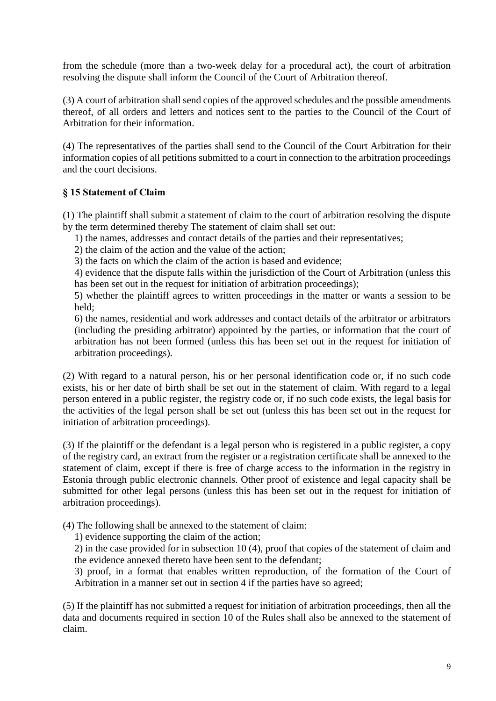from the schedule (more than a two-week delay for a procedural act), the court of arbitration resolving the dispute shall inform the Council of the Court of Arbitration thereof.

(3) A court of arbitration shall send copies of the approved schedules and the possible amendments thereof, of all orders and letters and notices sent to the parties to the Council of the Court of Arbitration for their information.

(4) The representatives of the parties shall send to the Council of the Court Arbitration for their information copies of all petitions submitted to a court in connection to the arbitration proceedings and the court decisions.

## **§ 15 Statement of Claim**

(1) The plaintiff shall submit a statement of claim to the court of arbitration resolving the dispute by the term determined thereby The statement of claim shall set out:

- 1) the names, addresses and contact details of the parties and their representatives;
- 2) the claim of the action and the value of the action;
- 3) the facts on which the claim of the action is based and evidence;

4) evidence that the dispute falls within the jurisdiction of the Court of Arbitration (unless this has been set out in the request for initiation of arbitration proceedings);

5) whether the plaintiff agrees to written proceedings in the matter or wants a session to be held;

6) the names, residential and work addresses and contact details of the arbitrator or arbitrators (including the presiding arbitrator) appointed by the parties, or information that the court of arbitration has not been formed (unless this has been set out in the request for initiation of arbitration proceedings).

(2) With regard to a natural person, his or her personal identification code or, if no such code exists, his or her date of birth shall be set out in the statement of claim. With regard to a legal person entered in a public register, the registry code or, if no such code exists, the legal basis for the activities of the legal person shall be set out (unless this has been set out in the request for initiation of arbitration proceedings).

(3) If the plaintiff or the defendant is a legal person who is registered in a public register, a copy of the registry card, an extract from the register or a registration certificate shall be annexed to the statement of claim, except if there is free of charge access to the information in the registry in Estonia through public electronic channels. Other proof of existence and legal capacity shall be submitted for other legal persons (unless this has been set out in the request for initiation of arbitration proceedings).

(4) The following shall be annexed to the statement of claim:

1) evidence supporting the claim of the action;

2) in the case provided for in subsection 10 (4), proof that copies of the statement of claim and the evidence annexed thereto have been sent to the defendant;

3) proof, in a format that enables written reproduction, of the formation of the Court of Arbitration in a manner set out in section 4 if the parties have so agreed;

(5) If the plaintiff has not submitted a request for initiation of arbitration proceedings, then all the data and documents required in section 10 of the Rules shall also be annexed to the statement of claim.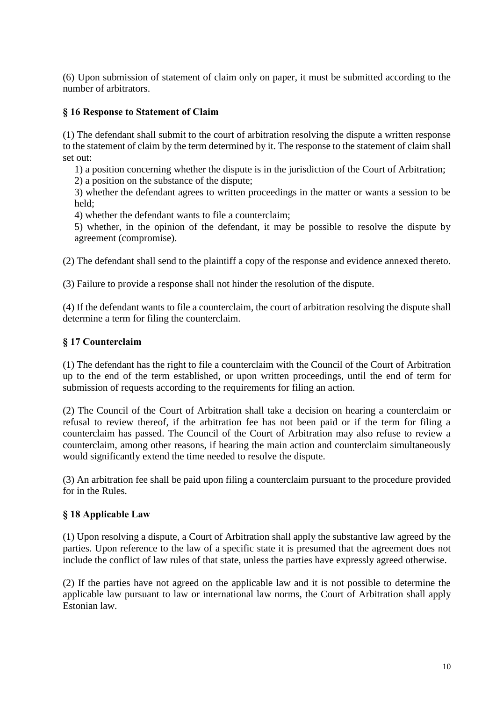(6) Upon submission of statement of claim only on paper, it must be submitted according to the number of arbitrators.

# **§ 16 Response to Statement of Claim**

(1) The defendant shall submit to the court of arbitration resolving the dispute a written response to the statement of claim by the term determined by it. The response to the statement of claim shall set out:

1) a position concerning whether the dispute is in the jurisdiction of the Court of Arbitration;

2) a position on the substance of the dispute;

3) whether the defendant agrees to written proceedings in the matter or wants a session to be held;

4) whether the defendant wants to file a counterclaim;

5) whether, in the opinion of the defendant, it may be possible to resolve the dispute by agreement (compromise).

(2) The defendant shall send to the plaintiff a copy of the response and evidence annexed thereto.

(3) Failure to provide a response shall not hinder the resolution of the dispute.

(4) If the defendant wants to file a counterclaim, the court of arbitration resolving the dispute shall determine a term for filing the counterclaim.

## **§ 17 Counterclaim**

(1) The defendant has the right to file a counterclaim with the Council of the Court of Arbitration up to the end of the term established, or upon written proceedings, until the end of term for submission of requests according to the requirements for filing an action.

(2) The Council of the Court of Arbitration shall take a decision on hearing a counterclaim or refusal to review thereof, if the arbitration fee has not been paid or if the term for filing a counterclaim has passed. The Council of the Court of Arbitration may also refuse to review a counterclaim, among other reasons, if hearing the main action and counterclaim simultaneously would significantly extend the time needed to resolve the dispute.

(3) An arbitration fee shall be paid upon filing a counterclaim pursuant to the procedure provided for in the Rules.

## **§ 18 Applicable Law**

(1) Upon resolving a dispute, a Court of Arbitration shall apply the substantive law agreed by the parties. Upon reference to the law of a specific state it is presumed that the agreement does not include the conflict of law rules of that state, unless the parties have expressly agreed otherwise.

(2) If the parties have not agreed on the applicable law and it is not possible to determine the applicable law pursuant to law or international law norms, the Court of Arbitration shall apply Estonian law.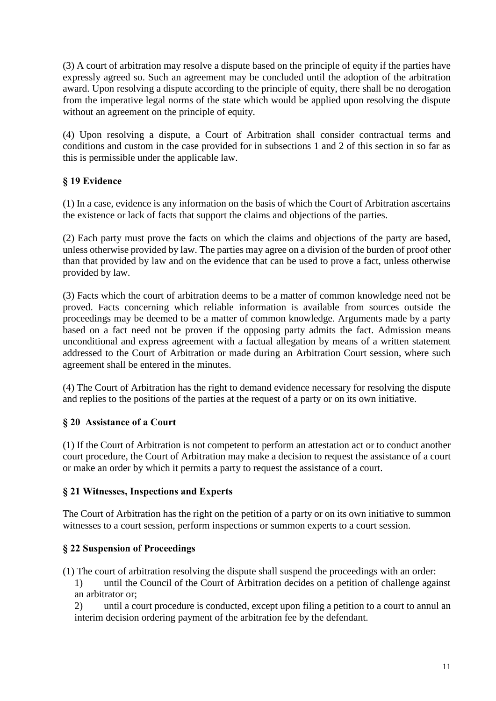(3) A court of arbitration may resolve a dispute based on the principle of equity if the parties have expressly agreed so. Such an agreement may be concluded until the adoption of the arbitration award. Upon resolving a dispute according to the principle of equity, there shall be no derogation from the imperative legal norms of the state which would be applied upon resolving the dispute without an agreement on the principle of equity.

(4) Upon resolving a dispute, a Court of Arbitration shall consider contractual terms and conditions and custom in the case provided for in subsections 1 and 2 of this section in so far as this is permissible under the applicable law.

# **§ 19 Evidence**

(1) In a case, evidence is any information on the basis of which the Court of Arbitration ascertains the existence or lack of facts that support the claims and objections of the parties.

(2) Each party must prove the facts on which the claims and objections of the party are based, unless otherwise provided by law. The parties may agree on a division of the burden of proof other than that provided by law and on the evidence that can be used to prove a fact, unless otherwise provided by law.

(3) Facts which the court of arbitration deems to be a matter of common knowledge need not be proved. Facts concerning which reliable information is available from sources outside the proceedings may be deemed to be a matter of common knowledge. Arguments made by a party based on a fact need not be proven if the opposing party admits the fact. Admission means unconditional and express agreement with a factual allegation by means of a written statement addressed to the Court of Arbitration or made during an Arbitration Court session, where such agreement shall be entered in the minutes.

(4) The Court of Arbitration has the right to demand evidence necessary for resolving the dispute and replies to the positions of the parties at the request of a party or on its own initiative.

# **§ 20 Assistance of a Court**

(1) If the Court of Arbitration is not competent to perform an attestation act or to conduct another court procedure, the Court of Arbitration may make a decision to request the assistance of a court or make an order by which it permits a party to request the assistance of a court.

## **§ 21 Witnesses, Inspections and Experts**

The Court of Arbitration has the right on the petition of a party or on its own initiative to summon witnesses to a court session, perform inspections or summon experts to a court session.

# **§ 22 Suspension of Proceedings**

(1) The court of arbitration resolving the dispute shall suspend the proceedings with an order:

1) until the Council of the Court of Arbitration decides on a petition of challenge against an arbitrator or;

2) until a court procedure is conducted, except upon filing a petition to a court to annul an interim decision ordering payment of the arbitration fee by the defendant.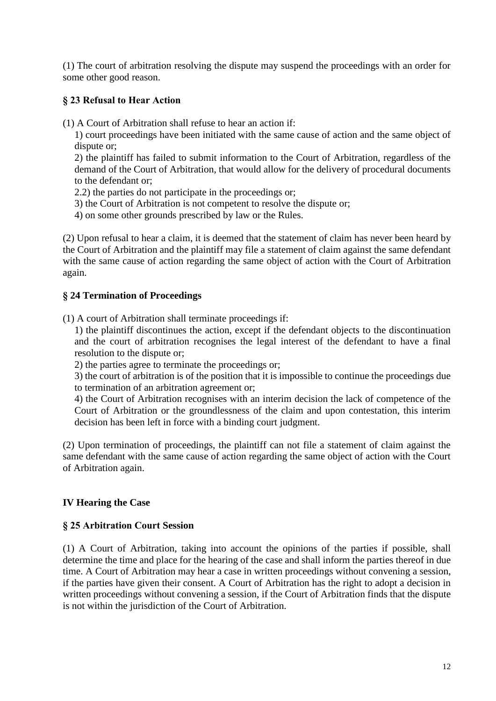(1) The court of arbitration resolving the dispute may suspend the proceedings with an order for some other good reason.

# **§ 23 Refusal to Hear Action**

(1) A Court of Arbitration shall refuse to hear an action if:

1) court proceedings have been initiated with the same cause of action and the same object of dispute or;

2) the plaintiff has failed to submit information to the Court of Arbitration, regardless of the demand of the Court of Arbitration, that would allow for the delivery of procedural documents to the defendant or;

2.2) the parties do not participate in the proceedings or;

- 3) the Court of Arbitration is not competent to resolve the dispute or;
- 4) on some other grounds prescribed by law or the Rules.

(2) Upon refusal to hear a claim, it is deemed that the statement of claim has never been heard by the Court of Arbitration and the plaintiff may file a statement of claim against the same defendant with the same cause of action regarding the same object of action with the Court of Arbitration again.

# **§ 24 Termination of Proceedings**

(1) A court of Arbitration shall terminate proceedings if:

1) the plaintiff discontinues the action, except if the defendant objects to the discontinuation and the court of arbitration recognises the legal interest of the defendant to have a final resolution to the dispute or;

2) the parties agree to terminate the proceedings or;

3) the court of arbitration is of the position that it is impossible to continue the proceedings due to termination of an arbitration agreement or;

4) the Court of Arbitration recognises with an interim decision the lack of competence of the Court of Arbitration or the groundlessness of the claim and upon contestation, this interim decision has been left in force with a binding court judgment.

(2) Upon termination of proceedings, the plaintiff can not file a statement of claim against the same defendant with the same cause of action regarding the same object of action with the Court of Arbitration again.

# **IV Hearing the Case**

## **§ 25 Arbitration Court Session**

(1) A Court of Arbitration, taking into account the opinions of the parties if possible, shall determine the time and place for the hearing of the case and shall inform the parties thereof in due time. A Court of Arbitration may hear a case in written proceedings without convening a session, if the parties have given their consent. A Court of Arbitration has the right to adopt a decision in written proceedings without convening a session, if the Court of Arbitration finds that the dispute is not within the jurisdiction of the Court of Arbitration.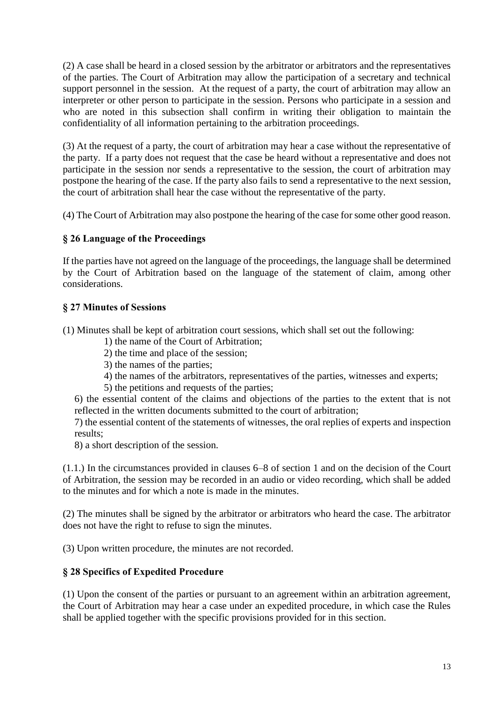(2) A case shall be heard in a closed session by the arbitrator or arbitrators and the representatives of the parties. The Court of Arbitration may allow the participation of a secretary and technical support personnel in the session. At the request of a party, the court of arbitration may allow an interpreter or other person to participate in the session. Persons who participate in a session and who are noted in this subsection shall confirm in writing their obligation to maintain the confidentiality of all information pertaining to the arbitration proceedings.

(3) At the request of a party, the court of arbitration may hear a case without the representative of the party. If a party does not request that the case be heard without a representative and does not participate in the session nor sends a representative to the session, the court of arbitration may postpone the hearing of the case. If the party also fails to send a representative to the next session, the court of arbitration shall hear the case without the representative of the party.

(4) The Court of Arbitration may also postpone the hearing of the case for some other good reason.

# **§ 26 Language of the Proceedings**

If the parties have not agreed on the language of the proceedings, the language shall be determined by the Court of Arbitration based on the language of the statement of claim, among other considerations.

# **§ 27 Minutes of Sessions**

(1) Minutes shall be kept of arbitration court sessions, which shall set out the following:

- 1) the name of the Court of Arbitration;
- 2) the time and place of the session;
- 3) the names of the parties;
- 4) the names of the arbitrators, representatives of the parties, witnesses and experts;
- 5) the petitions and requests of the parties;

6) the essential content of the claims and objections of the parties to the extent that is not reflected in the written documents submitted to the court of arbitration;

7) the essential content of the statements of witnesses, the oral replies of experts and inspection results;

8) a short description of the session.

(1.1.) In the circumstances provided in clauses 6–8 of section 1 and on the decision of the Court of Arbitration, the session may be recorded in an audio or video recording, which shall be added to the minutes and for which a note is made in the minutes.

(2) The minutes shall be signed by the arbitrator or arbitrators who heard the case. The arbitrator does not have the right to refuse to sign the minutes.

(3) Upon written procedure, the minutes are not recorded.

## **§ 28 Specifics of Expedited Procedure**

(1) Upon the consent of the parties or pursuant to an agreement within an arbitration agreement, the Court of Arbitration may hear a case under an expedited procedure, in which case the Rules shall be applied together with the specific provisions provided for in this section.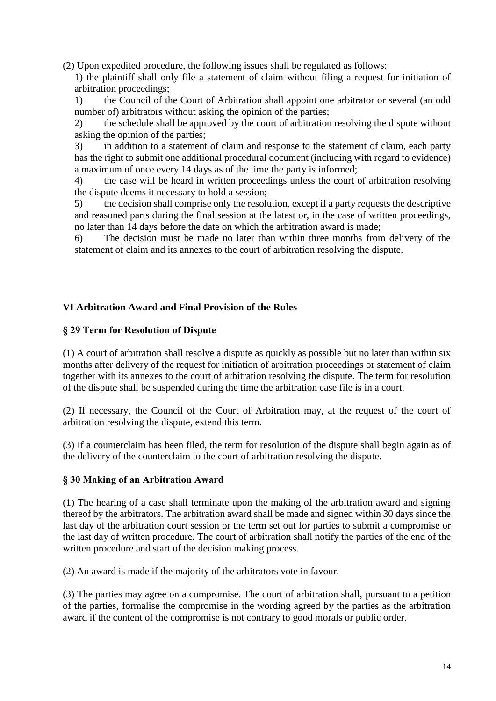(2) Upon expedited procedure, the following issues shall be regulated as follows:

1) the plaintiff shall only file a statement of claim without filing a request for initiation of arbitration proceedings;

1) the Council of the Court of Arbitration shall appoint one arbitrator or several (an odd number of) arbitrators without asking the opinion of the parties;

2) the schedule shall be approved by the court of arbitration resolving the dispute without asking the opinion of the parties;

3) in addition to a statement of claim and response to the statement of claim, each party has the right to submit one additional procedural document (including with regard to evidence) a maximum of once every 14 days as of the time the party is informed;

4) the case will be heard in written proceedings unless the court of arbitration resolving the dispute deems it necessary to hold a session;

5) the decision shall comprise only the resolution, except if a party requests the descriptive and reasoned parts during the final session at the latest or, in the case of written proceedings, no later than 14 days before the date on which the arbitration award is made;

6) The decision must be made no later than within three months from delivery of the statement of claim and its annexes to the court of arbitration resolving the dispute.

# **VI Arbitration Award and Final Provision of the Rules**

#### **§ 29 Term for Resolution of Dispute**

(1) A court of arbitration shall resolve a dispute as quickly as possible but no later than within six months after delivery of the request for initiation of arbitration proceedings or statement of claim together with its annexes to the court of arbitration resolving the dispute. The term for resolution of the dispute shall be suspended during the time the arbitration case file is in a court.

(2) If necessary, the Council of the Court of Arbitration may, at the request of the court of arbitration resolving the dispute, extend this term.

(3) If a counterclaim has been filed, the term for resolution of the dispute shall begin again as of the delivery of the counterclaim to the court of arbitration resolving the dispute.

## **§ 30 Making of an Arbitration Award**

(1) The hearing of a case shall terminate upon the making of the arbitration award and signing thereof by the arbitrators. The arbitration award shall be made and signed within 30 days since the last day of the arbitration court session or the term set out for parties to submit a compromise or the last day of written procedure. The court of arbitration shall notify the parties of the end of the written procedure and start of the decision making process.

(2) An award is made if the majority of the arbitrators vote in favour.

(3) The parties may agree on a compromise. The court of arbitration shall, pursuant to a petition of the parties, formalise the compromise in the wording agreed by the parties as the arbitration award if the content of the compromise is not contrary to good morals or public order.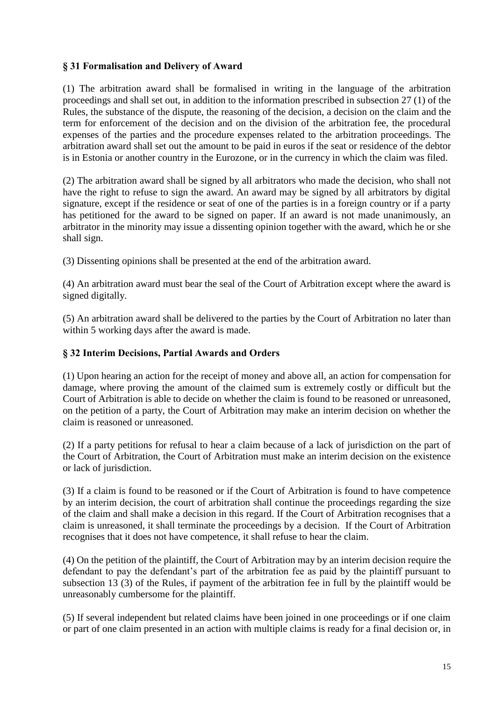# **§ 31 Formalisation and Delivery of Award**

(1) The arbitration award shall be formalised in writing in the language of the arbitration proceedings and shall set out, in addition to the information prescribed in subsection 27 (1) of the Rules, the substance of the dispute, the reasoning of the decision, a decision on the claim and the term for enforcement of the decision and on the division of the arbitration fee, the procedural expenses of the parties and the procedure expenses related to the arbitration proceedings. The arbitration award shall set out the amount to be paid in euros if the seat or residence of the debtor is in Estonia or another country in the Eurozone, or in the currency in which the claim was filed.

(2) The arbitration award shall be signed by all arbitrators who made the decision, who shall not have the right to refuse to sign the award. An award may be signed by all arbitrators by digital signature, except if the residence or seat of one of the parties is in a foreign country or if a party has petitioned for the award to be signed on paper. If an award is not made unanimously, an arbitrator in the minority may issue a dissenting opinion together with the award, which he or she shall sign.

(3) Dissenting opinions shall be presented at the end of the arbitration award.

(4) An arbitration award must bear the seal of the Court of Arbitration except where the award is signed digitally.

(5) An arbitration award shall be delivered to the parties by the Court of Arbitration no later than within 5 working days after the award is made.

# **§ 32 Interim Decisions, Partial Awards and Orders**

(1) Upon hearing an action for the receipt of money and above all, an action for compensation for damage, where proving the amount of the claimed sum is extremely costly or difficult but the Court of Arbitration is able to decide on whether the claim is found to be reasoned or unreasoned, on the petition of a party, the Court of Arbitration may make an interim decision on whether the claim is reasoned or unreasoned.

(2) If a party petitions for refusal to hear a claim because of a lack of jurisdiction on the part of the Court of Arbitration, the Court of Arbitration must make an interim decision on the existence or lack of jurisdiction.

(3) If a claim is found to be reasoned or if the Court of Arbitration is found to have competence by an interim decision, the court of arbitration shall continue the proceedings regarding the size of the claim and shall make a decision in this regard. If the Court of Arbitration recognises that a claim is unreasoned, it shall terminate the proceedings by a decision. If the Court of Arbitration recognises that it does not have competence, it shall refuse to hear the claim.

(4) On the petition of the plaintiff, the Court of Arbitration may by an interim decision require the defendant to pay the defendant's part of the arbitration fee as paid by the plaintiff pursuant to subsection 13 (3) of the Rules, if payment of the arbitration fee in full by the plaintiff would be unreasonably cumbersome for the plaintiff.

(5) If several independent but related claims have been joined in one proceedings or if one claim or part of one claim presented in an action with multiple claims is ready for a final decision or, in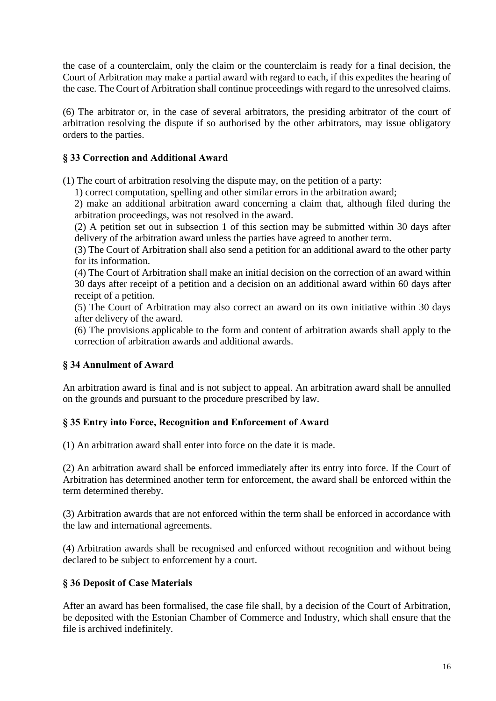the case of a counterclaim, only the claim or the counterclaim is ready for a final decision, the Court of Arbitration may make a partial award with regard to each, if this expedites the hearing of the case. The Court of Arbitration shall continue proceedings with regard to the unresolved claims.

(6) The arbitrator or, in the case of several arbitrators, the presiding arbitrator of the court of arbitration resolving the dispute if so authorised by the other arbitrators, may issue obligatory orders to the parties.

# **§ 33 Correction and Additional Award**

(1) The court of arbitration resolving the dispute may, on the petition of a party:

1) correct computation, spelling and other similar errors in the arbitration award;

2) make an additional arbitration award concerning a claim that, although filed during the arbitration proceedings, was not resolved in the award.

(2) A petition set out in subsection 1 of this section may be submitted within 30 days after delivery of the arbitration award unless the parties have agreed to another term.

(3) The Court of Arbitration shall also send a petition for an additional award to the other party for its information.

(4) The Court of Arbitration shall make an initial decision on the correction of an award within 30 days after receipt of a petition and a decision on an additional award within 60 days after receipt of a petition.

(5) The Court of Arbitration may also correct an award on its own initiative within 30 days after delivery of the award.

(6) The provisions applicable to the form and content of arbitration awards shall apply to the correction of arbitration awards and additional awards.

# **§ 34 Annulment of Award**

An arbitration award is final and is not subject to appeal. An arbitration award shall be annulled on the grounds and pursuant to the procedure prescribed by law.

# **§ 35 Entry into Force, Recognition and Enforcement of Award**

(1) An arbitration award shall enter into force on the date it is made.

(2) An arbitration award shall be enforced immediately after its entry into force. If the Court of Arbitration has determined another term for enforcement, the award shall be enforced within the term determined thereby.

(3) Arbitration awards that are not enforced within the term shall be enforced in accordance with the law and international agreements.

(4) Arbitration awards shall be recognised and enforced without recognition and without being declared to be subject to enforcement by a court.

# **§ 36 Deposit of Case Materials**

After an award has been formalised, the case file shall, by a decision of the Court of Arbitration, be deposited with the Estonian Chamber of Commerce and Industry, which shall ensure that the file is archived indefinitely.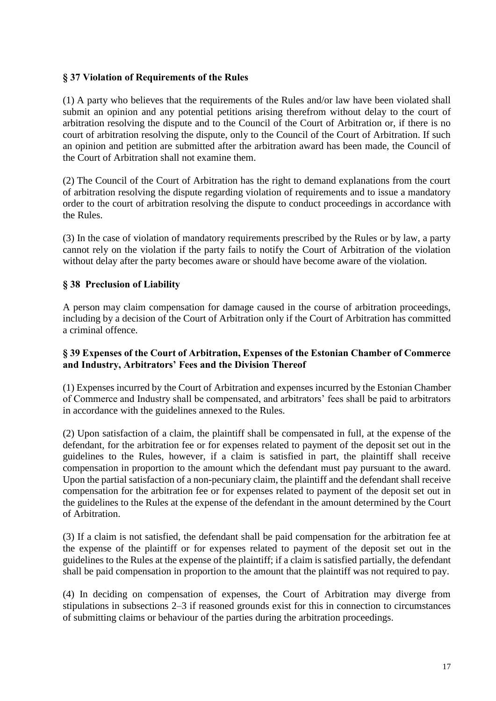## **§ 37 Violation of Requirements of the Rules**

(1) A party who believes that the requirements of the Rules and/or law have been violated shall submit an opinion and any potential petitions arising therefrom without delay to the court of arbitration resolving the dispute and to the Council of the Court of Arbitration or, if there is no court of arbitration resolving the dispute, only to the Council of the Court of Arbitration. If such an opinion and petition are submitted after the arbitration award has been made, the Council of the Court of Arbitration shall not examine them.

(2) The Council of the Court of Arbitration has the right to demand explanations from the court of arbitration resolving the dispute regarding violation of requirements and to issue a mandatory order to the court of arbitration resolving the dispute to conduct proceedings in accordance with the Rules.

(3) In the case of violation of mandatory requirements prescribed by the Rules or by law, a party cannot rely on the violation if the party fails to notify the Court of Arbitration of the violation without delay after the party becomes aware or should have become aware of the violation.

#### **§ 38 Preclusion of Liability**

A person may claim compensation for damage caused in the course of arbitration proceedings, including by a decision of the Court of Arbitration only if the Court of Arbitration has committed a criminal offence.

## **§ 39 Expenses of the Court of Arbitration, Expenses of the Estonian Chamber of Commerce and Industry, Arbitrators' Fees and the Division Thereof**

(1) Expenses incurred by the Court of Arbitration and expenses incurred by the Estonian Chamber of Commerce and Industry shall be compensated, and arbitrators' fees shall be paid to arbitrators in accordance with the guidelines annexed to the Rules.

(2) Upon satisfaction of a claim, the plaintiff shall be compensated in full, at the expense of the defendant, for the arbitration fee or for expenses related to payment of the deposit set out in the guidelines to the Rules, however, if a claim is satisfied in part, the plaintiff shall receive compensation in proportion to the amount which the defendant must pay pursuant to the award. Upon the partial satisfaction of a non-pecuniary claim, the plaintiff and the defendant shall receive compensation for the arbitration fee or for expenses related to payment of the deposit set out in the guidelines to the Rules at the expense of the defendant in the amount determined by the Court of Arbitration.

(3) If a claim is not satisfied, the defendant shall be paid compensation for the arbitration fee at the expense of the plaintiff or for expenses related to payment of the deposit set out in the guidelines to the Rules at the expense of the plaintiff; if a claim is satisfied partially, the defendant shall be paid compensation in proportion to the amount that the plaintiff was not required to pay.

(4) In deciding on compensation of expenses, the Court of Arbitration may diverge from stipulations in subsections 2–3 if reasoned grounds exist for this in connection to circumstances of submitting claims or behaviour of the parties during the arbitration proceedings.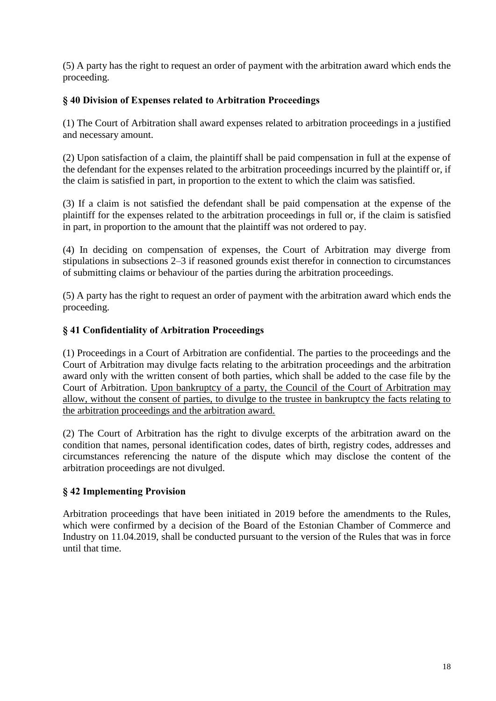(5) A party has the right to request an order of payment with the arbitration award which ends the proceeding.

# **§ 40 Division of Expenses related to Arbitration Proceedings**

(1) The Court of Arbitration shall award expenses related to arbitration proceedings in a justified and necessary amount.

(2) Upon satisfaction of a claim, the plaintiff shall be paid compensation in full at the expense of the defendant for the expenses related to the arbitration proceedings incurred by the plaintiff or, if the claim is satisfied in part, in proportion to the extent to which the claim was satisfied.

(3) If a claim is not satisfied the defendant shall be paid compensation at the expense of the plaintiff for the expenses related to the arbitration proceedings in full or, if the claim is satisfied in part, in proportion to the amount that the plaintiff was not ordered to pay.

(4) In deciding on compensation of expenses, the Court of Arbitration may diverge from stipulations in subsections 2–3 if reasoned grounds exist therefor in connection to circumstances of submitting claims or behaviour of the parties during the arbitration proceedings.

(5) A party has the right to request an order of payment with the arbitration award which ends the proceeding.

## **§ 41 Confidentiality of Arbitration Proceedings**

(1) Proceedings in a Court of Arbitration are confidential. The parties to the proceedings and the Court of Arbitration may divulge facts relating to the arbitration proceedings and the arbitration award only with the written consent of both parties, which shall be added to the case file by the Court of Arbitration. Upon bankruptcy of a party, the Council of the Court of Arbitration may allow, without the consent of parties, to divulge to the trustee in bankruptcy the facts relating to the arbitration proceedings and the arbitration award.

(2) The Court of Arbitration has the right to divulge excerpts of the arbitration award on the condition that names, personal identification codes, dates of birth, registry codes, addresses and circumstances referencing the nature of the dispute which may disclose the content of the arbitration proceedings are not divulged.

# **§ 42 Implementing Provision**

Arbitration proceedings that have been initiated in 2019 before the amendments to the Rules, which were confirmed by a decision of the Board of the Estonian Chamber of Commerce and Industry on 11.04.2019, shall be conducted pursuant to the version of the Rules that was in force until that time.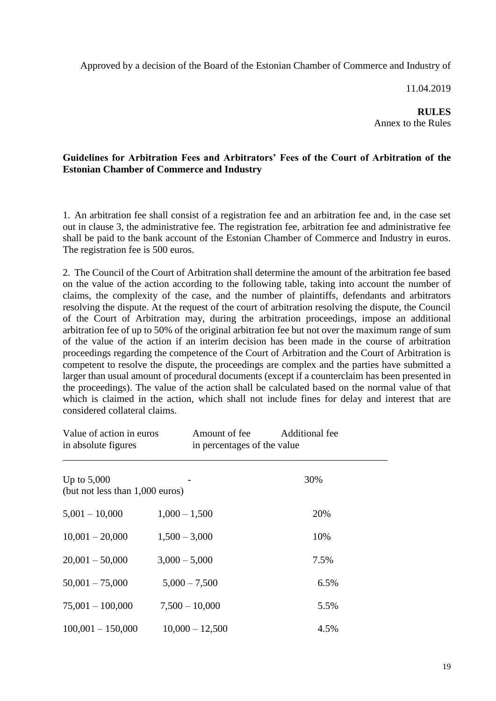Approved by a decision of the Board of the Estonian Chamber of Commerce and Industry of

11.04.2019

**RULES** Annex to the Rules

# **Guidelines for Arbitration Fees and Arbitrators' Fees of the Court of Arbitration of the Estonian Chamber of Commerce and Industry**

1. An arbitration fee shall consist of a registration fee and an arbitration fee and, in the case set out in clause 3, the administrative fee. The registration fee, arbitration fee and administrative fee shall be paid to the bank account of the Estonian Chamber of Commerce and Industry in euros. The registration fee is 500 euros.

2. The Council of the Court of Arbitration shall determine the amount of the arbitration fee based on the value of the action according to the following table, taking into account the number of claims, the complexity of the case, and the number of plaintiffs, defendants and arbitrators resolving the dispute. At the request of the court of arbitration resolving the dispute, the Council of the Court of Arbitration may, during the arbitration proceedings, impose an additional arbitration fee of up to 50% of the original arbitration fee but not over the maximum range of sum of the value of the action if an interim decision has been made in the course of arbitration proceedings regarding the competence of the Court of Arbitration and the Court of Arbitration is competent to resolve the dispute, the proceedings are complex and the parties have submitted a larger than usual amount of procedural documents (except if a counterclaim has been presented in the proceedings). The value of the action shall be calculated based on the normal value of that which is claimed in the action, which shall not include fines for delay and interest that are considered collateral claims.

| Value of action in euros<br>in absolute figures  | Amount of fee     | Additional fee<br>in percentages of the value |  |
|--------------------------------------------------|-------------------|-----------------------------------------------|--|
| Up to $5,000$<br>(but not less than 1,000 euros) |                   | 30%                                           |  |
| $5,001 - 10,000$                                 | $1,000 - 1,500$   | 20%                                           |  |
| $10,001 - 20,000$                                | $1,500 - 3,000$   | 10%                                           |  |
| $20,001 - 50,000$                                | $3,000 - 5,000$   | 7.5%                                          |  |
| $50,001 - 75,000$                                | $5,000 - 7,500$   | 6.5%                                          |  |
| $75,001 - 100,000$                               | $7,500 - 10,000$  | 5.5%                                          |  |
| $100,001 - 150,000$                              | $10,000 - 12,500$ | 4.5%                                          |  |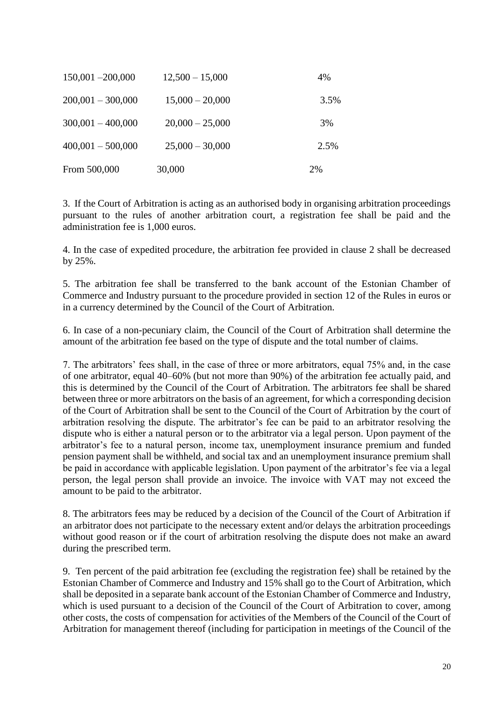| $150,001 - 200,000$ | $12,500 - 15,000$ | 4%   |
|---------------------|-------------------|------|
| $200,001 - 300,000$ | $15,000 - 20,000$ | 3.5% |
| $300,001 - 400,000$ | $20,000 - 25,000$ | 3%   |
| $400,001 - 500,000$ | $25,000 - 30,000$ | 2.5% |
| From 500,000        | 30,000            | 2%   |

3. If the Court of Arbitration is acting as an authorised body in organising arbitration proceedings pursuant to the rules of another arbitration court, a registration fee shall be paid and the administration fee is 1,000 euros.

4. In the case of expedited procedure, the arbitration fee provided in clause 2 shall be decreased by 25%.

5. The arbitration fee shall be transferred to the bank account of the Estonian Chamber of Commerce and Industry pursuant to the procedure provided in section 12 of the Rules in euros or in a currency determined by the Council of the Court of Arbitration.

6. In case of a non-pecuniary claim, the Council of the Court of Arbitration shall determine the amount of the arbitration fee based on the type of dispute and the total number of claims.

7. The arbitrators' fees shall, in the case of three or more arbitrators, equal 75% and, in the case of one arbitrator, equal 40–60% (but not more than 90%) of the arbitration fee actually paid, and this is determined by the Council of the Court of Arbitration. The arbitrators fee shall be shared between three or more arbitrators on the basis of an agreement, for which a corresponding decision of the Court of Arbitration shall be sent to the Council of the Court of Arbitration by the court of arbitration resolving the dispute. The arbitrator's fee can be paid to an arbitrator resolving the dispute who is either a natural person or to the arbitrator via a legal person. Upon payment of the arbitrator's fee to a natural person, income tax, unemployment insurance premium and funded pension payment shall be withheld, and social tax and an unemployment insurance premium shall be paid in accordance with applicable legislation. Upon payment of the arbitrator's fee via a legal person, the legal person shall provide an invoice. The invoice with VAT may not exceed the amount to be paid to the arbitrator.

8. The arbitrators fees may be reduced by a decision of the Council of the Court of Arbitration if an arbitrator does not participate to the necessary extent and/or delays the arbitration proceedings without good reason or if the court of arbitration resolving the dispute does not make an award during the prescribed term.

9. Ten percent of the paid arbitration fee (excluding the registration fee) shall be retained by the Estonian Chamber of Commerce and Industry and 15% shall go to the Court of Arbitration, which shall be deposited in a separate bank account of the Estonian Chamber of Commerce and Industry, which is used pursuant to a decision of the Council of the Court of Arbitration to cover, among other costs, the costs of compensation for activities of the Members of the Council of the Court of Arbitration for management thereof (including for participation in meetings of the Council of the